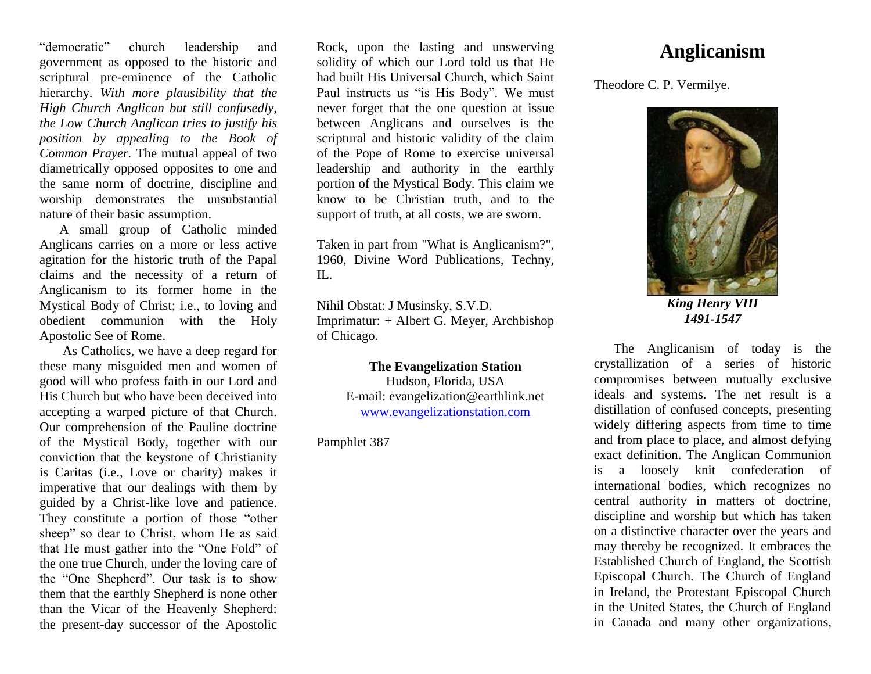"democratic" church leadership and government as opposed to the historic and scriptural pre-eminence of the Catholic hierarchy. *With more plausibility that the High Church Anglican but still confusedly, the Low Church Anglican tries to justify his position by appealing to the Book of Common Prayer.* The mutual appeal of two diametrically opposed opposites to one and the same norm of doctrine, discipline and worship demonstrates the unsubstantial nature of their basic assumption.

A small group of Catholic minded Anglicans carries on a more or less active agitation for the historic truth of the Papal claims and the necessity of a return of Anglicanism to its former home in the Mystical Body of Christ; i.e., to loving and obedient communion with the Holy Apostolic See of Rome.

As Catholics, we have a deep regard for these many misguided men and women of good will who profess faith in our Lord and His Church but who have been deceived into accepting a warped picture of that Church. Our comprehension of the Pauline doctrine of the Mystical Body, together with our conviction that the keystone of Christianity is Caritas (i.e., Love or charity) makes it imperative that our dealings with them by guided by a Christ-like love and patience. They constitute a portion of those "other sheep" so dear to Christ, whom He as said that He must gather into the "One Fold" of the one true Church, under the loving care of the "One Shepherd". Our task is to show them that the earthly Shepherd is none other than the Vicar of the Heavenly Shepherd: the present-day successor of the Apostolic

Rock, upon the lasting and unswerving solidity of which our Lord told us that He had built His Universal Church, which Saint Paul instructs us "is His Body". We must never forget that the one question at issue between Anglicans and ourselves is the scriptural and historic validity of the claim of the Pope of Rome to exercise universal leadership and authority in the earthly portion of the Mystical Body. This claim we know to be Christian truth, and to the support of truth, at all costs, we are sworn.

Taken in part from "What is Anglicanism?", 1960, Divine Word Publications, Techny,  $\Pi$ .

Nihil Obstat: J Musinsky, S.V.D. Imprimatur: + Albert G. Meyer, Archbishop of Chicago.

> **The Evangelization Station**  Hudson, Florida, USA E-mail: evangelization@earthlink.net [www.evangelizationstation.com](http://www.pjpiisoe.org/)

Pamphlet 387

## **Anglicanism**

Theodore C. P. Vermilye.



*King Henry VIII 1491-1547*

The Anglicanism of today is the crystallization of a series of historic compromises between mutually exclusive ideals and systems. The net result is a distillation of confused concepts, presenting widely differing aspects from time to time and from place to place, and almost defying exact definition. The Anglican Communion is a loosely knit confederation of international bodies, which recognizes no central authority in matters of doctrine, discipline and worship but which has taken on a distinctive character over the years and may thereby be recognized. It embraces the Established Church of England, the Scottish Episcopal Church. The Church of England in Ireland, the Protestant Episcopal Church in the United States, the Church of England in Canada and many other organizations,